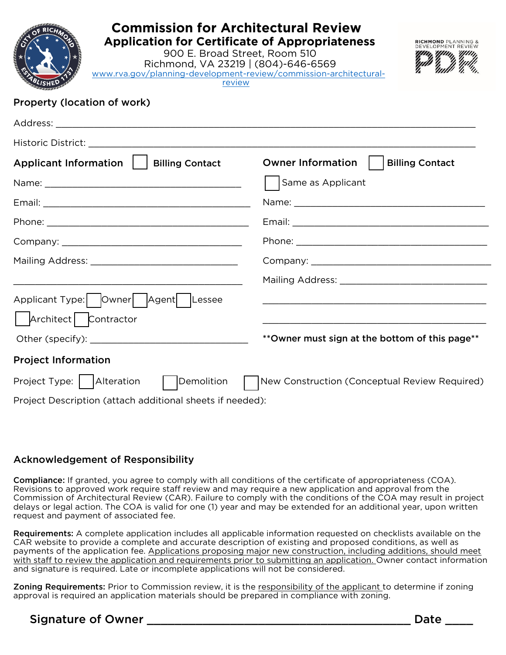| <b>Commission for Architectural Review</b><br><b>Application for Certificate of Appropriateness</b><br><b>RICHMOND PLANNING &amp;</b><br>900 E. Broad Street, Room 510<br>Richmond, VA 23219   (804)-646-6569<br>www.rva.gov/planning-development-review/commission-architectural-<br>review |                                                 |
|----------------------------------------------------------------------------------------------------------------------------------------------------------------------------------------------------------------------------------------------------------------------------------------------|-------------------------------------------------|
| Property (location of work)                                                                                                                                                                                                                                                                  |                                                 |
|                                                                                                                                                                                                                                                                                              |                                                 |
|                                                                                                                                                                                                                                                                                              |                                                 |
| Applicant Information     Billing Contact                                                                                                                                                                                                                                                    | Owner Information<br><b>Billing Contact</b>     |
|                                                                                                                                                                                                                                                                                              | Same as Applicant                               |
|                                                                                                                                                                                                                                                                                              |                                                 |
|                                                                                                                                                                                                                                                                                              |                                                 |
|                                                                                                                                                                                                                                                                                              |                                                 |
|                                                                                                                                                                                                                                                                                              |                                                 |
|                                                                                                                                                                                                                                                                                              |                                                 |
| Applicant Type:   Owner   Agent   Lessee                                                                                                                                                                                                                                                     |                                                 |
| Architect   Contractor                                                                                                                                                                                                                                                                       |                                                 |
| Other (specify): Notice and the contract of the contract of the contract of the contract of the contract of the contract of the contract of the contract of the contract of the contract of the contract of the contract of th                                                               | ** Owner must sign at the bottom of this page** |
| <b>Project Information</b>                                                                                                                                                                                                                                                                   |                                                 |
| Project Type:   Alteration<br>  Demolition                                                                                                                                                                                                                                                   | New Construction (Conceptual Review Required)   |
| Project Description (attach additional sheets if needed):                                                                                                                                                                                                                                    |                                                 |

#### Acknowledgement of Responsibility

Compliance: If granted, you agree to comply with all conditions of the certificate of appropriateness (COA). Revisions to approved work require staff review and may require a new application and approval from the Commission of Architectural Review (CAR). Failure to comply with the conditions of the COA may result in project delays or legal action. The COA is valid for one (1) year and may be extended for an additional year, upon written request and payment of associated fee.

Requirements: A complete application includes all applicable information requested on checklists available on the CAR website to provide a complete and accurate description of existing and proposed conditions, as well as payments of the application fee. Applications proposing major new construction, including additions, should meet with staff to review the application and requirements prior to submitting an application. Owner contact information and signature is required. Late or incomplete applications will not be considered.

Zoning Requirements: Prior to Commission review, it is the responsibility of the applicant to determine if zoning approval is required an application materials should be prepared in compliance with zoning.

## Signature of Owner \_\_\_\_\_\_\_\_\_\_\_\_\_\_\_\_\_\_\_\_\_\_\_\_\_\_\_\_\_\_\_\_\_\_\_\_\_\_ Date \_\_\_\_